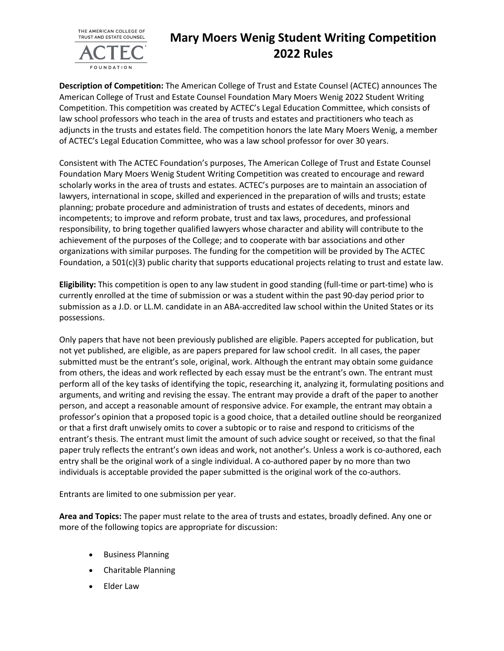

## **Mary Moers Wenig Student Writing Competition 2022 Rules**

**Description of Competition:** The American College of Trust and Estate Counsel (ACTEC) announces The American College of Trust and Estate Counsel Foundation Mary Moers Wenig 2022 Student Writing Competition. This competition was created by ACTEC's Legal Education Committee, which consists of law school professors who teach in the area of trusts and estates and practitioners who teach as adjuncts in the trusts and estates field. The competition honors the late Mary Moers Wenig, a member of ACTEC's Legal Education Committee, who was a law school professor for over 30 years.

Consistent with The ACTEC Foundation's purposes, The American College of Trust and Estate Counsel Foundation Mary Moers Wenig Student Writing Competition was created to encourage and reward scholarly works in the area of trusts and estates. ACTEC's purposes are to maintain an association of lawyers, international in scope, skilled and experienced in the preparation of wills and trusts; estate planning; probate procedure and administration of trusts and estates of decedents, minors and incompetents; to improve and reform probate, trust and tax laws, procedures, and professional responsibility, to bring together qualified lawyers whose character and ability will contribute to the achievement of the purposes of the College; and to cooperate with bar associations and other organizations with similar purposes. The funding for the competition will be provided by The ACTEC Foundation, a 501(c)(3) public charity that supports educational projects relating to trust and estate law.

**Eligibility:** This competition is open to any law student in good standing (full-time or part-time) who is currently enrolled at the time of submission or was a student within the past 90-day period prior to submission as a J.D. or LL.M. candidate in an ABA-accredited law school within the United States or its possessions.

Only papers that have not been previously published are eligible. Papers accepted for publication, but not yet published, are eligible, as are papers prepared for law school credit. In all cases, the paper submitted must be the entrant's sole, original, work. Although the entrant may obtain some guidance from others, the ideas and work reflected by each essay must be the entrant's own. The entrant must perform all of the key tasks of identifying the topic, researching it, analyzing it, formulating positions and arguments, and writing and revising the essay. The entrant may provide a draft of the paper to another person, and accept a reasonable amount of responsive advice. For example, the entrant may obtain a professor's opinion that a proposed topic is a good choice, that a detailed outline should be reorganized or that a first draft unwisely omits to cover a subtopic or to raise and respond to criticisms of the entrant's thesis. The entrant must limit the amount of such advice sought or received, so that the final paper truly reflects the entrant's own ideas and work, not another's. Unless a work is co-authored, each entry shall be the original work of a single individual. A co-authored paper by no more than two individuals is acceptable provided the paper submitted is the original work of the co-authors.

Entrants are limited to one submission per year.

**Area and Topics:** The paper must relate to the area of trusts and estates, broadly defined. Any one or more of the following topics are appropriate for discussion:

- Business Planning
- Charitable Planning
- Elder Law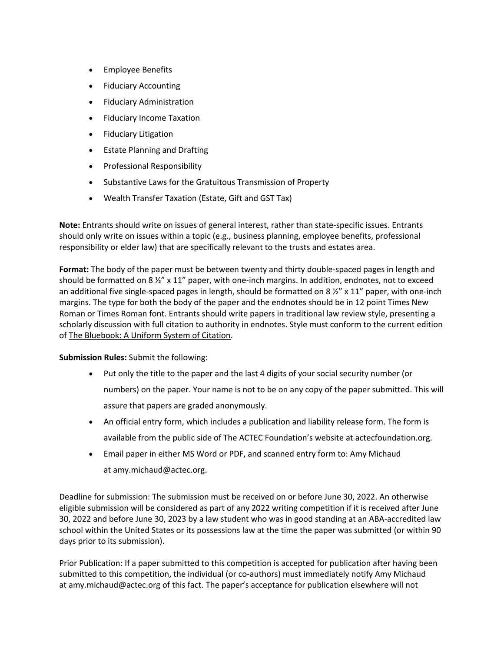- Employee Benefits
- Fiduciary Accounting
- Fiduciary Administration
- Fiduciary Income Taxation
- Fiduciary Litigation
- Estate Planning and Drafting
- Professional Responsibility
- Substantive Laws for the Gratuitous Transmission of Property
- Wealth Transfer Taxation (Estate, Gift and GST Tax)

**Note:** Entrants should write on issues of general interest, rather than state-specific issues. Entrants should only write on issues within a topic (e.g., business planning, employee benefits, professional responsibility or elder law) that are specifically relevant to the trusts and estates area.

**Format:** The body of the paper must be between twenty and thirty double-spaced pages in length and should be formatted on 8 ½" x 11" paper, with one-inch margins. In addition, endnotes, not to exceed an additional five single-spaced pages in length, should be formatted on 8  $\frac{1}{2}$ " x 11" paper, with one-inch margins. The type for both the body of the paper and the endnotes should be in 12 point Times New Roman or Times Roman font. Entrants should write papers in traditional law review style, presenting a scholarly discussion with full citation to authority in endnotes. Style must conform to the current edition of The Bluebook: A Uniform System of Citation.

## **Submission Rules:** Submit the following:

- Put only the title to the paper and the last 4 digits of your social security number (or numbers) on the paper. Your name is not to be on any copy of the paper submitted. This will assure that papers are graded anonymously.
- An official entry form, which includes a publication and liability release form. The form is available from the public side of The ACTEC Foundation's website at actecfoundation.org.
- Email paper in either MS Word or PDF, and scanned entry form to: Amy Michaud at amy.michaud@actec.org.

Deadline for submission: The submission must be received on or before June 30, 2022. An otherwise eligible submission will be considered as part of any 2022 writing competition if it is received after June 30, 2022 and before June 30, 2023 by a law student who was in good standing at an ABA-accredited law school within the United States or its possessions law at the time the paper was submitted (or within 90 days prior to its submission).

Prior Publication: If a paper submitted to this competition is accepted for publication after having been submitted to this competition, the individual (or co-authors) must immediately notify Amy Michaud at amy.michaud@actec.org of this fact. The paper's acceptance for publication elsewhere will not